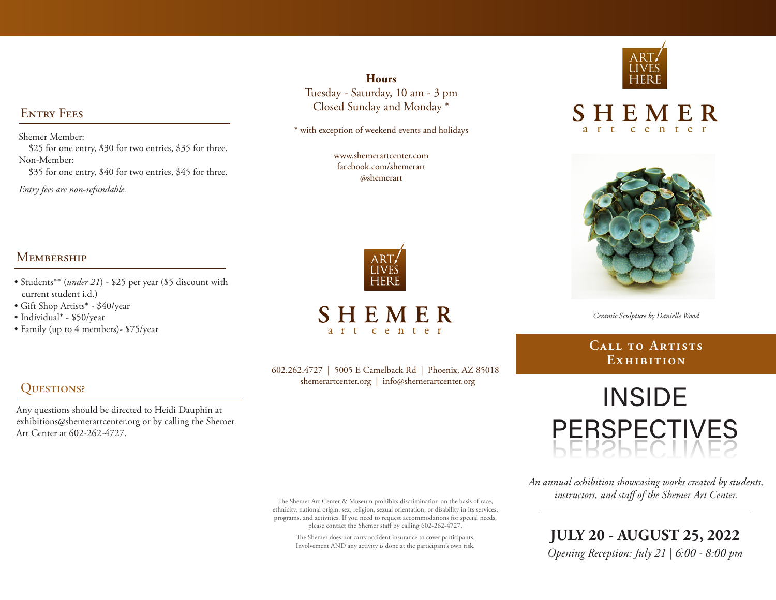### ENTRY FEES

Shemer Member: \$25 for one entry, \$30 for two entries, \$35 for three. Non-Member:

\$35 for one entry, \$40 for two entries, \$45 for three.

*Entry fees are non-refundable.*

#### **Hours** Tuesday - Saturday, 10 am - 3 pm Closed Sunday and Monday \*

\* with exception of weekend events and holidays

www.shemerartcenter.com facebook.com/shemerart @shemerart



**SHEMER** art center



SHEMER

center

*Ceramic Sculpture by Danielle Wood*

### **Call to Artists Exhibition**

# **INSIDE** PERSPECTIVES PERSPECTIVES

*An annual exhibition showcasing works created by students, instructors, and staff of the Shemer Art Center.* 

**JULY 20 - AUGUST 25, 2022** *Opening Reception: July 21 | 6:00 - 8:00 pm*

#### **MEMBERSHIP**

• Students\*\* (*under 21*) - \$25 per year (\$5 discount with current student i.d.)

Any questions should be directed to Heidi Dauphin at exhibitions@shemerartcenter.org or by calling the Shemer

• Gift Shop Artists\* - \$40/year

Art Center at 602-262-4727.

• Individual\* - \$50/year

QUESTIONS?

• Family (up to 4 members)- \$75/year

602.262.4727 | 5005 E Camelback Rd | Phoenix, AZ 85018 shemerartcenter.org | info@shemerartcenter.org

The Shemer Art Center & Museum prohibits discrimination on the basis of race, ethnicity, national origin, sex, religion, sexual orientation, or disability in its services, programs, and activities. If you need to request accommodations for special needs, please contact the Shemer staff by calling 602-262-4727.

The Shemer does not carry accident insurance to cover participants. Involvement AND any activity is done at the participant's own risk.